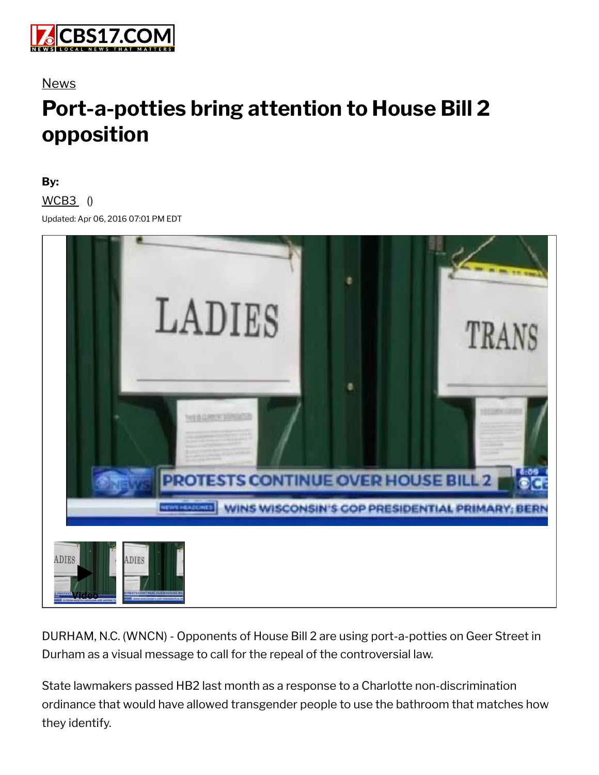

### News

# **Port-a-potties bring attention to House Bill 2 opposition**

#### **By:**

#### $WCB3$  ()

Updated: Apr 06, 2016 07:01 PM EDT



DURHAM, N.C. (WNCN) - Opponents of House Bill 2 are using port-a-potties on Geer Street in Durham as a visual message to call for the repeal of the controversial law.

State lawmakers passed HB2 last month as a response to a Charlotte non-discrimination ordinance that would have allowed transgender people to use the bathroom that matches how they identify.